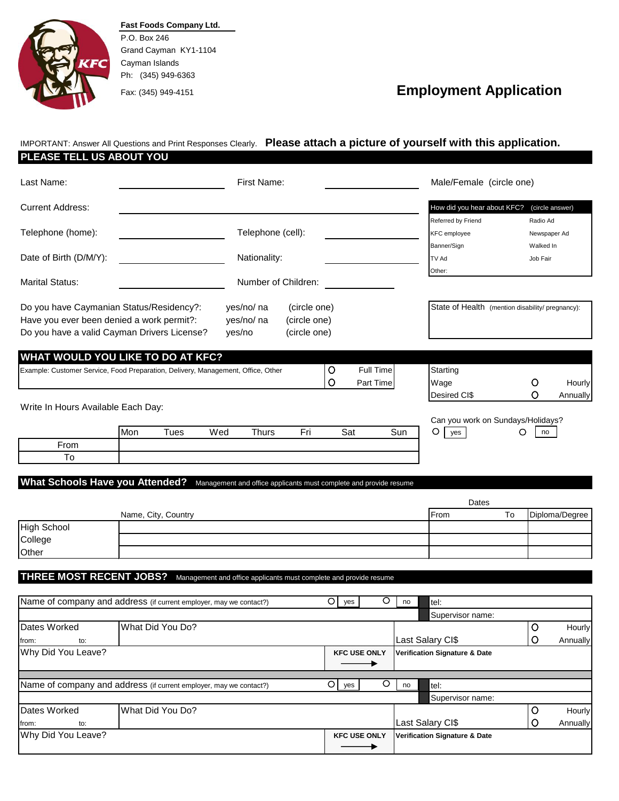

To

**Fast Foods Company Ltd.** P.O. Box 246 Grand Cayman KY1-1104 Cayman Islands Ph: (345) 949-6363

## Fax: (345) 949-4151 **Employment Application**

IMPORTANT: Answer All Questions and Print Responses Clearly. **Please attach a picture of yourself with this application.**

## **PLEASE TELL US ABOUT YOU**

| Last Name:                                                                       | First Name: |      |        |                   | Male/Female (circle one) |         |           |     |                                                  |              |                 |
|----------------------------------------------------------------------------------|-------------|------|--------|-------------------|--------------------------|---------|-----------|-----|--------------------------------------------------|--------------|-----------------|
| <b>Current Address:</b>                                                          |             |      |        |                   |                          |         |           |     | How did you hear about KFC?                      |              | (circle answer) |
|                                                                                  |             |      |        |                   |                          |         |           |     | Referred by Friend                               | Radio Ad     |                 |
| Telephone (home):                                                                |             |      |        | Telephone (cell): |                          |         |           |     | <b>KFC</b> employee                              | Newspaper Ad |                 |
|                                                                                  |             |      |        |                   |                          |         |           |     | Banner/Sign                                      | Walked In    |                 |
| Date of Birth (D/M/Y):                                                           |             |      |        | Nationality:      |                          |         |           |     | TV Ad                                            | Job Fair     |                 |
|                                                                                  |             |      |        |                   |                          |         |           |     | Other:                                           |              |                 |
| <b>Marital Status:</b>                                                           |             |      |        |                   | Number of Children:      |         |           |     |                                                  |              |                 |
| Do you have Caymanian Status/Residency?:                                         |             |      |        | yes/no/ na        | (circle one)             |         |           |     | State of Health (mention disability/ pregnancy): |              |                 |
| Have you ever been denied a work permit?:                                        |             |      |        | yes/no/ na        | (circle one)             |         |           |     |                                                  |              |                 |
| Do you have a valid Cayman Drivers License?                                      |             |      | yes/no |                   | (circle one)             |         |           |     |                                                  |              |                 |
|                                                                                  |             |      |        |                   |                          |         |           |     |                                                  |              |                 |
| WHAT WOULD YOU LIKE TO DO AT KFC?                                                |             |      |        |                   |                          |         |           |     |                                                  |              |                 |
| Example: Customer Service, Food Preparation, Delivery, Management, Office, Other |             |      |        |                   |                          | $\circ$ | Full Time |     | Starting                                         |              |                 |
|                                                                                  |             |      |        |                   |                          | $\circ$ | Part Time |     | Wage                                             | O            | Hourly          |
|                                                                                  |             |      |        |                   |                          |         |           |     | Desired CI\$                                     | Ω            | Annually        |
| Write In Hours Available Each Day:                                               |             |      |        |                   |                          |         |           |     |                                                  |              |                 |
|                                                                                  |             |      |        |                   |                          |         |           |     | Can you work on Sundays/Holidays?                |              |                 |
|                                                                                  | Mon         | Tues | Wed    | Thurs             | Fri                      |         | Sat       | Sun | $\circ$<br>yes                                   | Ο<br>no      |                 |
| From                                                                             |             |      |        |                   |                          |         |           |     |                                                  |              |                 |

**What Schools Have you Attended?** Management and office applicants must complete and provide resume

|             |                     | Dates        |    |                |
|-------------|---------------------|--------------|----|----------------|
|             | Name, City, Country | <b>IFrom</b> | To | Diploma/Degree |
| High School |                     |              |    |                |
| College     |                     |              |    |                |
| Other       |                     |              |    |                |

**THREE MOST RECENT JOBS?** Management and office applicants must complete and provide resume

| Name of company and address (if current employer, may we contact?) |                                                                    | $\circ$ | yes                                                             |                     | no | tel:                                     |   |          |
|--------------------------------------------------------------------|--------------------------------------------------------------------|---------|-----------------------------------------------------------------|---------------------|----|------------------------------------------|---|----------|
|                                                                    |                                                                    |         |                                                                 |                     |    | Supervisor name:                         |   |          |
| Dates Worked                                                       | What Did You Do?                                                   |         |                                                                 |                     |    |                                          | O | Hourly   |
| from:<br>to:                                                       |                                                                    |         |                                                                 |                     |    | Last Salary CI\$                         | O | Annually |
| Why Did You Leave?                                                 |                                                                    |         | <b>Verification Signature &amp; Date</b><br><b>KFC USE ONLY</b> |                     |    |                                          |   |          |
|                                                                    |                                                                    |         |                                                                 |                     |    |                                          |   |          |
|                                                                    |                                                                    |         |                                                                 |                     |    |                                          |   |          |
|                                                                    | Name of company and address (if current employer, may we contact?) | $\circ$ | yes                                                             |                     | no | tel:                                     |   |          |
|                                                                    |                                                                    |         |                                                                 |                     |    | Supervisor name:                         |   |          |
| Dates Worked                                                       | What Did You Do?                                                   |         |                                                                 |                     |    |                                          | O | Hourly   |
| from:<br>to:                                                       |                                                                    |         |                                                                 |                     |    | Last Salary CI\$                         |   | Annually |
| Why Did You Leave?                                                 |                                                                    |         |                                                                 | <b>KFC USE ONLY</b> |    | <b>Verification Signature &amp; Date</b> |   |          |
|                                                                    |                                                                    |         |                                                                 |                     |    |                                          |   |          |